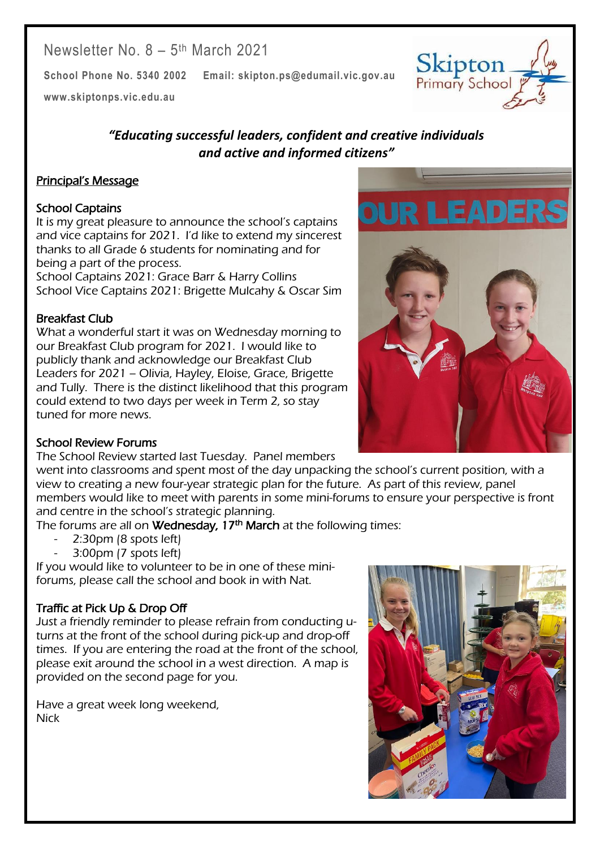# Newsletter No. 8 - 5<sup>th</sup> March 2021

**School Phone No. 5340 2002 Email: skipton.ps@edumail.vic.gov.au**

**[www.skiptonps.vic.edu.au](http://www.skiptonps.vic.edu.au/)**

### *"Educating successful leaders, confident and creative individuals and active and informed citizens"*

### Principal's Message

#### School Captains

It is my great pleasure to announce the school's captains and vice captains for 2021. I'd like to extend my sincerest thanks to all Grade 6 students for nominating and for being a part of the process.

School Captains 2021: Grace Barr & Harry Collins School Vice Captains 2021: Brigette Mulcahy & Oscar Sim

#### Breakfast Club

What a wonderful start it was on Wednesday morning to our Breakfast Club program for 2021. I would like to publicly thank and acknowledge our Breakfast Club Leaders for 2021 – Olivia, Hayley, Eloise, Grace, Brigette and Tully. There is the distinct likelihood that this program could extend to two days per week in Term 2, so stay tuned for more news.

#### School Review Forums

The School Review started last Tuesday. Panel members

went into classrooms and spent most of the day unpacking the school's current position, with a view to creating a new four-year strategic plan for the future. As part of this review, panel members would like to meet with parents in some mini-forums to ensure your perspective is front and centre in the school's strategic planning.

The forums are all on **Wednesday, 17<sup>th</sup> March** at the following times:

- 2:30pm (8 spots left)
- 3:00pm (7 spots left)

If you would like to volunteer to be in one of these miniforums, please call the school and book in with Nat.

#### Traffic at Pick Up & Drop Off

Just a friendly reminder to please refrain from conducting uturns at the front of the school during pick-up and drop-off times. If you are entering the road at the front of the school, please exit around the school in a west direction. A map is provided on the second page for you.

Have a great week long weekend, Nick



Centacare South West